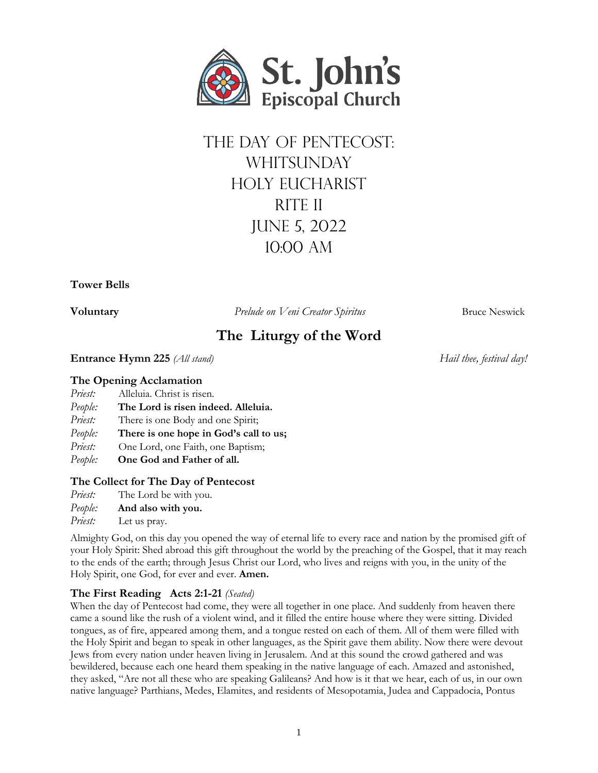

# The day Of Pentecost: WHITSUNDAY Holy Eucharist RITE II June 5, 2022 10:00 aM

**Tower Bells**

**Voluntary** *Prelude on Veni Creator Spiritus* **Bruce Neswick Bruce Neswick** 

# **The Liturgy of the Word**

**Entrance Hymn** 225 *(All stand) Hail thee, festival day!* 

# **The Opening Acclamation**

- *Priest:* Alleluia. Christ is risen.
- *People:* **The Lord is risen indeed. Alleluia.**
- *Priest:* There is one Body and one Spirit;
- *People:* **There is one hope in God's call to us;**
- *Priest:* One Lord, one Faith, one Baptism;
- *People:* **One God and Father of all.**

# **The Collect for The Day of Pentecost**

- *Priest:* The Lord be with you.
- *People:* **And also with you.**
- *Priest:* Let us pray.

Almighty God, on this day you opened the way of eternal life to every race and nation by the promised gift of your Holy Spirit: Shed abroad this gift throughout the world by the preaching of the Gospel, that it may reach to the ends of the earth; through Jesus Christ our Lord, who lives and reigns with you, in the unity of the Holy Spirit, one God, for ever and ever. **Amen.**

# **The First Reading Acts 2:1-21** *(Seated)*

When the day of Pentecost had come, they were all together in one place. And suddenly from heaven there came a sound like the rush of a violent wind, and it filled the entire house where they were sitting. Divided tongues, as of fire, appeared among them, and a tongue rested on each of them. All of them were filled with the Holy Spirit and began to speak in other languages, as the Spirit gave them ability. Now there were devout Jews from every nation under heaven living in Jerusalem. And at this sound the crowd gathered and was bewildered, because each one heard them speaking in the native language of each. Amazed and astonished, they asked, "Are not all these who are speaking Galileans? And how is it that we hear, each of us, in our own native language? Parthians, Medes, Elamites, and residents of Mesopotamia, Judea and Cappadocia, Pontus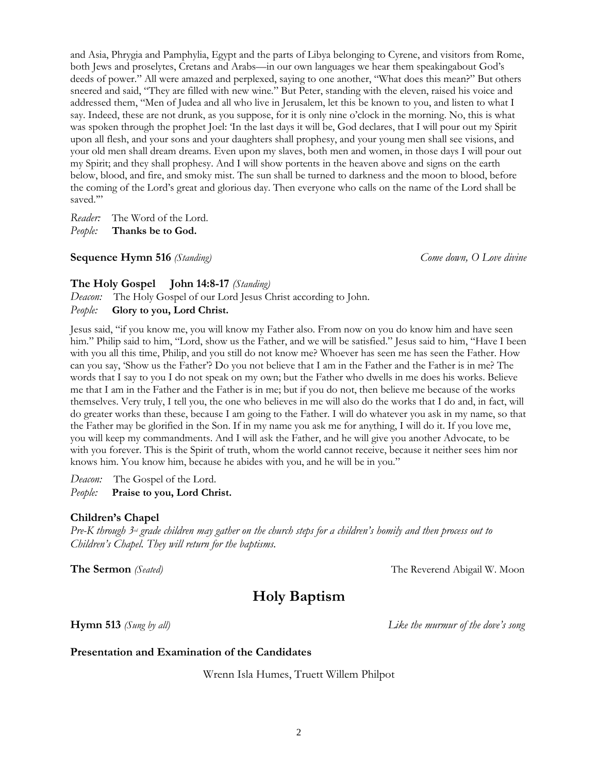and Asia, Phrygia and Pamphylia, Egypt and the parts of Libya belonging to Cyrene, and visitors from Rome, both Jews and proselytes, Cretans and Arabs—in our own languages we hear them speakingabout God's deeds of power." All were amazed and perplexed, saying to one another, "What does this mean?" But others sneered and said, "They are filled with new wine." But Peter, standing with the eleven, raised his voice and addressed them, "Men of Judea and all who live in Jerusalem, let this be known to you, and listen to what I say. Indeed, these are not drunk, as you suppose, for it is only nine o'clock in the morning. No, this is what was spoken through the prophet Joel: 'In the last days it will be, God declares, that I will pour out my Spirit upon all flesh, and your sons and your daughters shall prophesy, and your young men shall see visions, and your old men shall dream dreams. Even upon my slaves, both men and women, in those days I will pour out my Spirit; and they shall prophesy. And I will show portents in the heaven above and signs on the earth below, blood, and fire, and smoky mist. The sun shall be turned to darkness and the moon to blood, before the coming of the Lord's great and glorious day. Then everyone who calls on the name of the Lord shall be saved."

*Reader:* The Word of the Lord. *People:* **Thanks be to God.**

### **Sequence Hymn 516** *(Standing) Come down, O Love divine*

### **The Holy Gospel John 14:8-17** *(Standing)*

*Deacon:* The Holy Gospel of our Lord Jesus Christ according to John. *People:* **Glory to you, Lord Christ.**

Jesus said, "if you know me, you will know my Father also. From now on you do know him and have seen him." Philip said to him, "Lord, show us the Father, and we will be satisfied." Jesus said to him, "Have I been with you all this time, Philip, and you still do not know me? Whoever has seen me has seen the Father. How can you say, 'Show us the Father'? Do you not believe that I am in the Father and the Father is in me? The words that I say to you I do not speak on my own; but the Father who dwells in me does his works. Believe me that I am in the Father and the Father is in me; but if you do not, then believe me because of the works themselves. Very truly, I tell you, the one who believes in me will also do the works that I do and, in fact, will do greater works than these, because I am going to the Father. I will do whatever you ask in my name, so that the Father may be glorified in the Son. If in my name you ask me for anything, I will do it. If you love me, you will keep my commandments. And I will ask the Father, and he will give you another Advocate, to be with you forever. This is the Spirit of truth, whom the world cannot receive, because it neither sees him nor knows him. You know him, because he abides with you, and he will be in you."

*Deacon:* The Gospel of the Lord. *People:* **Praise to you, Lord Christ.**

### **Children's Chapel**

Pre-K through  $3<sup>d</sup>$  grade children may gather on the church steps for a children's homily and then process out to *Children's Chapel. They will return for the baptisms.*

**The Sermon** *(Seated)* **The Reverend Abigail W. Moon** 

# **Holy Baptism**

**Hymn 513** *(Sung by all) Like the murmur of the dove's song*

### **Presentation and Examination of the Candidates**

Wrenn Isla Humes, Truett Willem Philpot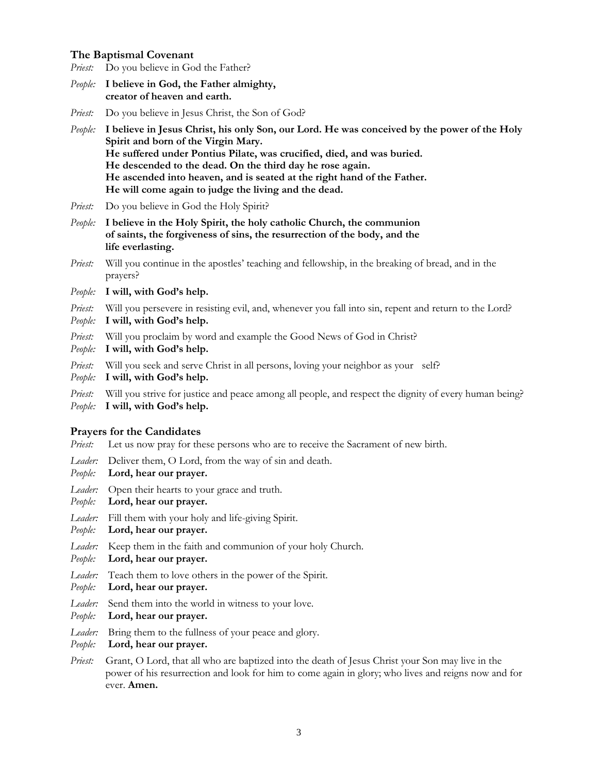### **The Baptismal Covenant**

- *Priest:* Do you believe in God the Father?
- *People:* **I believe in God, the Father almighty, creator of heaven and earth.**
- *Priest:* Do you believe in Jesus Christ, the Son of God?
- People: I believe in Jesus Christ, his only Son, our Lord. He was conceived by the power of the Holy **Spirit and born of the Virgin Mary. He suffered under Pontius Pilate, was crucified, died, and was buried. He descended to the dead. On the third day he rose again. He ascended into heaven, and is seated at the right hand of the Father. He will come again to judge the living and the dead.**
- *Priest:* Do you believe in God the Holy Spirit?
- *People:* **I believe in the Holy Spirit, the holy catholic Church, the communion of saints, the forgiveness of sins, the resurrection of the body, and the life everlasting.**
- *Priest:* Will you continue in the apostles' teaching and fellowship, in the breaking of bread, and in the prayers?
- *People:* **I will, with God's help.**
- *Priest:* Will you persevere in resisting evil, and, whenever you fall into sin, repent and return to the Lord?
- *People:* **I will, with God's help.**
- *Priest:* Will you proclaim by word and example the Good News of God in Christ?
- *People:* **I will, with God's help.**
- *Priest:* Will you seek and serve Christ in all persons, loving your neighbor as your self?
- *People:* **I will, with God's help.**
- *Priest:* Will you strive for justice and peace among all people, and respect the dignity of every human being?
- *People:* **I will, with God's help.**

### **Prayers for the Candidates**

- *Priest:* Let us now pray for these persons who are to receive the Sacrament of new birth.
- *Leader:* Deliver them, O Lord, from the way of sin and death.
- *People:* **Lord, hear our prayer.**
- *Leader:* Open their hearts to your grace and truth.
- *People:* **Lord, hear our prayer.**
- *Leader:* Fill them with your holy and life-giving Spirit.
- *People:* **Lord, hear our prayer.**
- *Leader:* Keep them in the faith and communion of your holy Church.
- *People:* **Lord, hear our prayer.**
- *Leader:* Teach them to love others in the power of the Spirit.
- *People:* **Lord, hear our prayer.**
- *Leader:* Send them into the world in witness to your love.
- *People:* **Lord, hear our prayer.**
- *Leader:* Bring them to the fullness of your peace and glory.
- *People:* **Lord, hear our prayer.**
- *Priest:* Grant, O Lord, that all who are baptized into the death of Jesus Christ your Son may live in the power of his resurrection and look for him to come again in glory; who lives and reigns now and for ever. **Amen.**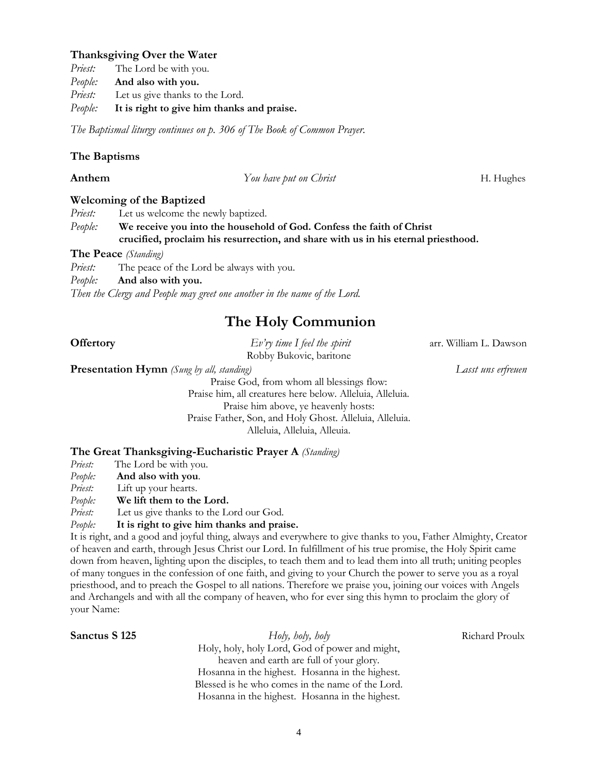### **Thanksgiving Over the Water**

Priest: The Lord be with you. *People:* **And also with you.** *Priest:* Let us give thanks to the Lord.

*People:* **It is right to give him thanks and praise.**

*The Baptismal liturgy continues on p. 306 of The Book of Common Prayer.*

### **The Baptisms**

**Anthem** *You have put on Christ* H. Hughes

### **Welcoming of the Baptized**

*Priest:* Let us welcome the newly baptized.

*People:* **We receive you into the household of God. Confess the faith of Christ crucified, proclaim his resurrection, and share with us in his eternal priesthood.**

**The Peace** *(Standing)*

*Priest:* The peace of the Lord be always with you.

*People:* **And also with you.**

*Then the Clergy and People may greet one another in the name of the Lord.*

# **The Holy Communion**

**Offertory** *Ev'ry time I feel the spirit* arr. William L. Dawson Robby Bukovic, baritone

**Presentation Hymn** *(Sung by all, standing) Lasst uns erfreuen*

Praise God, from whom all blessings flow: Praise him, all creatures here below. Alleluia, Alleluia. Praise him above, ye heavenly hosts: Praise Father, Son, and Holy Ghost. Alleluia, Alleluia. Alleluia, Alleluia, Alleuia.

### **The Great Thanksgiving-Eucharistic Prayer A** *(Standing)*

*Priest:* The Lord be with you.

*People:* **And also with you**.

*Priest:* Lift up your hearts.

*People:* **We lift them to the Lord.**

*Priest:* Let us give thanks to the Lord our God.

*People:* **It is right to give him thanks and praise.**

It is right, and a good and joyful thing, always and everywhere to give thanks to you, Father Almighty, Creator of heaven and earth, through Jesus Christ our Lord. In fulfillment of his true promise, the Holy Spirit came down from heaven, lighting upon the disciples, to teach them and to lead them into all truth; uniting peoples of many tongues in the confession of one faith, and giving to your Church the power to serve you as a royal priesthood, and to preach the Gospel to all nations. Therefore we praise you, joining our voices with Angels and Archangels and with all the company of heaven, who for ever sing this hymn to proclaim the glory of your Name:

**Sanctus S 125** *Holy, holy, holy* Richard Proulx Holy, holy, holy Lord, God of power and might, heaven and earth are full of your glory. Hosanna in the highest. Hosanna in the highest. Blessed is he who comes in the name of the Lord. Hosanna in the highest. Hosanna in the highest.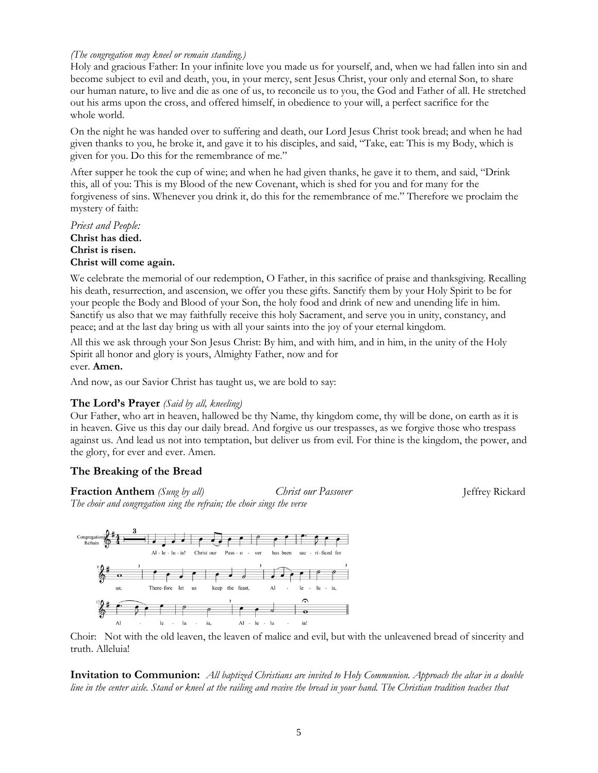### *(The congregation may kneel or remain standing.)*

Holy and gracious Father: In your infinite love you made us for yourself, and, when we had fallen into sin and become subject to evil and death, you, in your mercy, sent Jesus Christ, your only and eternal Son, to share our human nature, to live and die as one of us, to reconcile us to you, the God and Father of all. He stretched out his arms upon the cross, and offered himself, in obedience to your will, a perfect sacrifice for the whole world.

On the night he was handed over to suffering and death, our Lord Jesus Christ took bread; and when he had given thanks to you, he broke it, and gave it to his disciples, and said, "Take, eat: This is my Body, which is given for you. Do this for the remembrance of me."

After supper he took the cup of wine; and when he had given thanks, he gave it to them, and said, "Drink this, all of you: This is my Blood of the new Covenant, which is shed for you and for many for the forgiveness of sins. Whenever you drink it, do this for the remembrance of me." Therefore we proclaim the mystery of faith:

*Priest and People:* **Christ has died. Christ is risen. Christ will come again.**

We celebrate the memorial of our redemption, O Father, in this sacrifice of praise and thanksgiving. Recalling his death, resurrection, and ascension, we offer you these gifts. Sanctify them by your Holy Spirit to be for your people the Body and Blood of your Son, the holy food and drink of new and unending life in him. Sanctify us also that we may faithfully receive this holy Sacrament, and serve you in unity, constancy, and peace; and at the last day bring us with all your saints into the joy of your eternal kingdom.

All this we ask through your Son Jesus Christ: By him, and with him, and in him, in the unity of the Holy Spirit all honor and glory is yours, Almighty Father, now and for ever. **Amen.**

And now, as our Savior Christ has taught us, we are bold to say:

### **The Lord's Prayer** *(Said by all, kneeling)*

Our Father, who art in heaven, hallowed be thy Name, thy kingdom come, thy will be done, on earth as it is in heaven. Give us this day our daily bread. And forgive us our trespasses, as we forgive those who trespass against us. And lead us not into temptation, but deliver us from evil. For thine is the kingdom, the power, and the glory, for ever and ever. Amen.

### **The Breaking of the Bread**

**Fraction Anthem** (Sung by all) *Christ* our Passover **Christian** Jeffrey Rickard

*The choir and congregation sing the refrain; the choir sings the verse*



Choir: Not with the old leaven, the leaven of malice and evil, but with the unleavened bread of sincerity and truth. Alleluia!

**Invitation to Communion:** All baptized Christians are invited to Holy Communion. Approach the altar in a double line in the center aisle. Stand or kneel at the railing and receive the bread in your hand. The Christian tradition teaches that